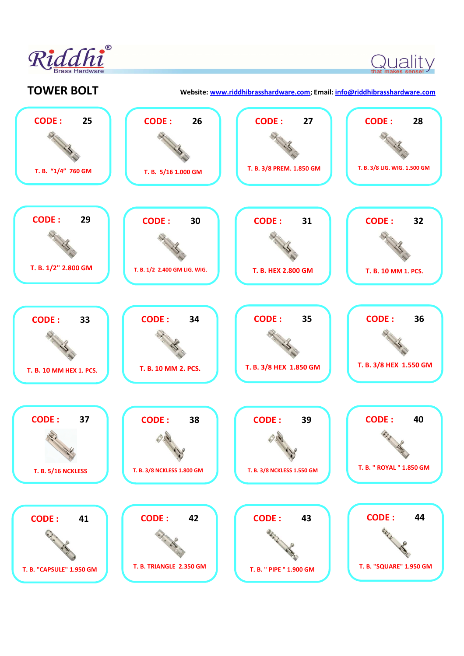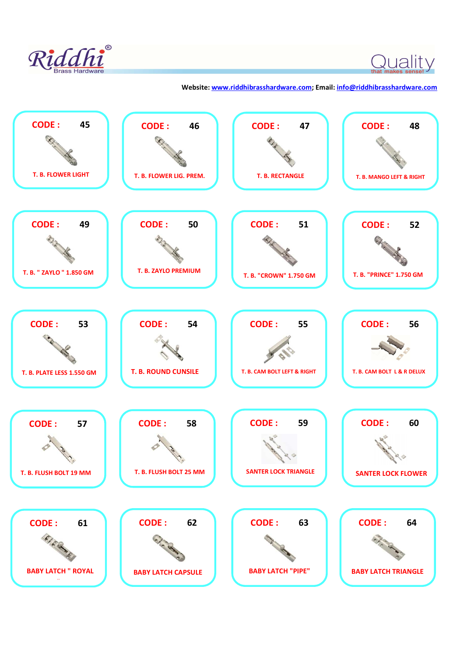

 $\bigcirc$  that makes sense!  $\bigvee$ 

 **Website: www.riddhibrasshardware.com; Email: info@riddhibrasshardware.com**